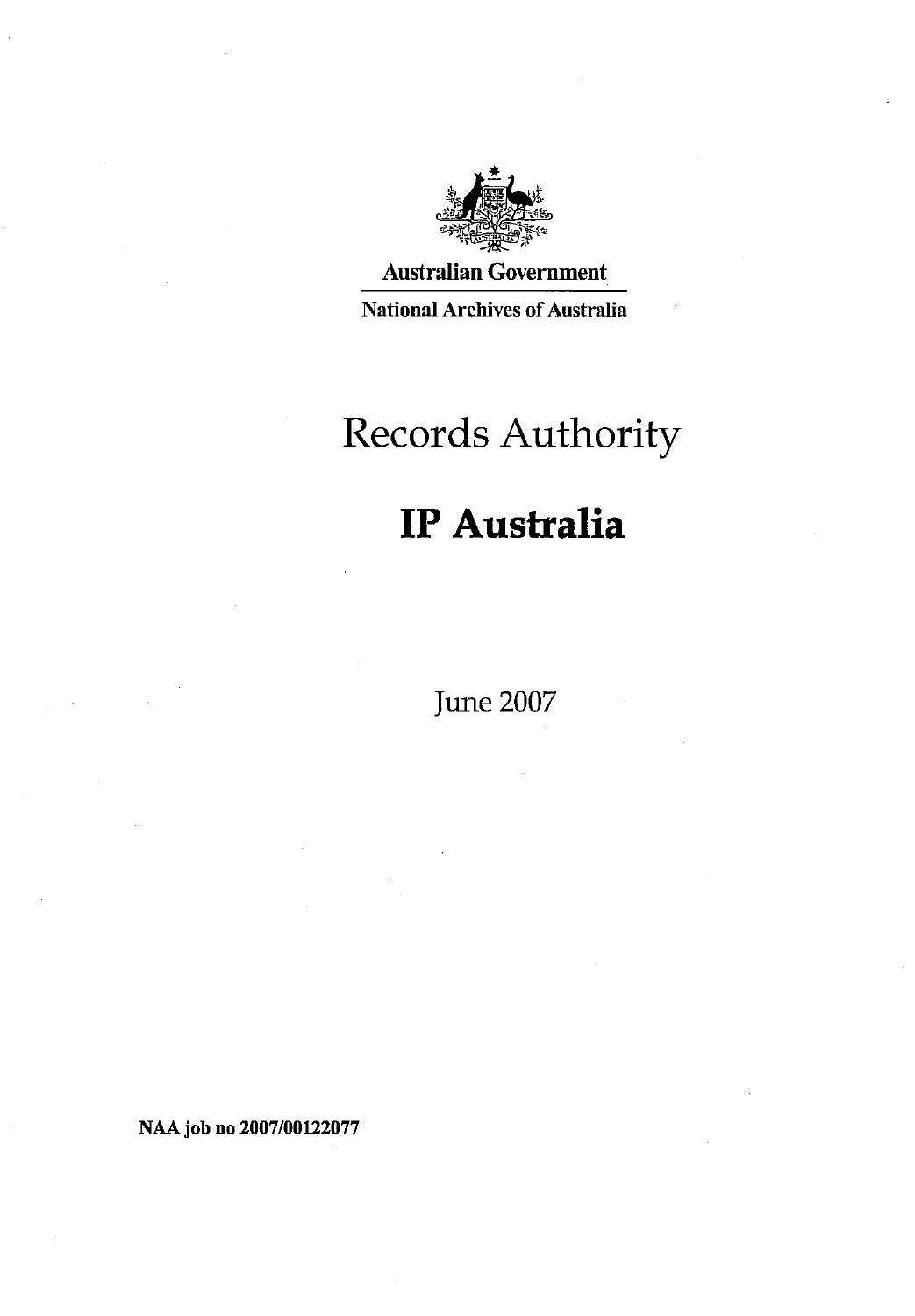

Australian Government

National Archives of Australia

# Records Authority

# **IP Australia**

June 2007

NAA job no 2007/00122077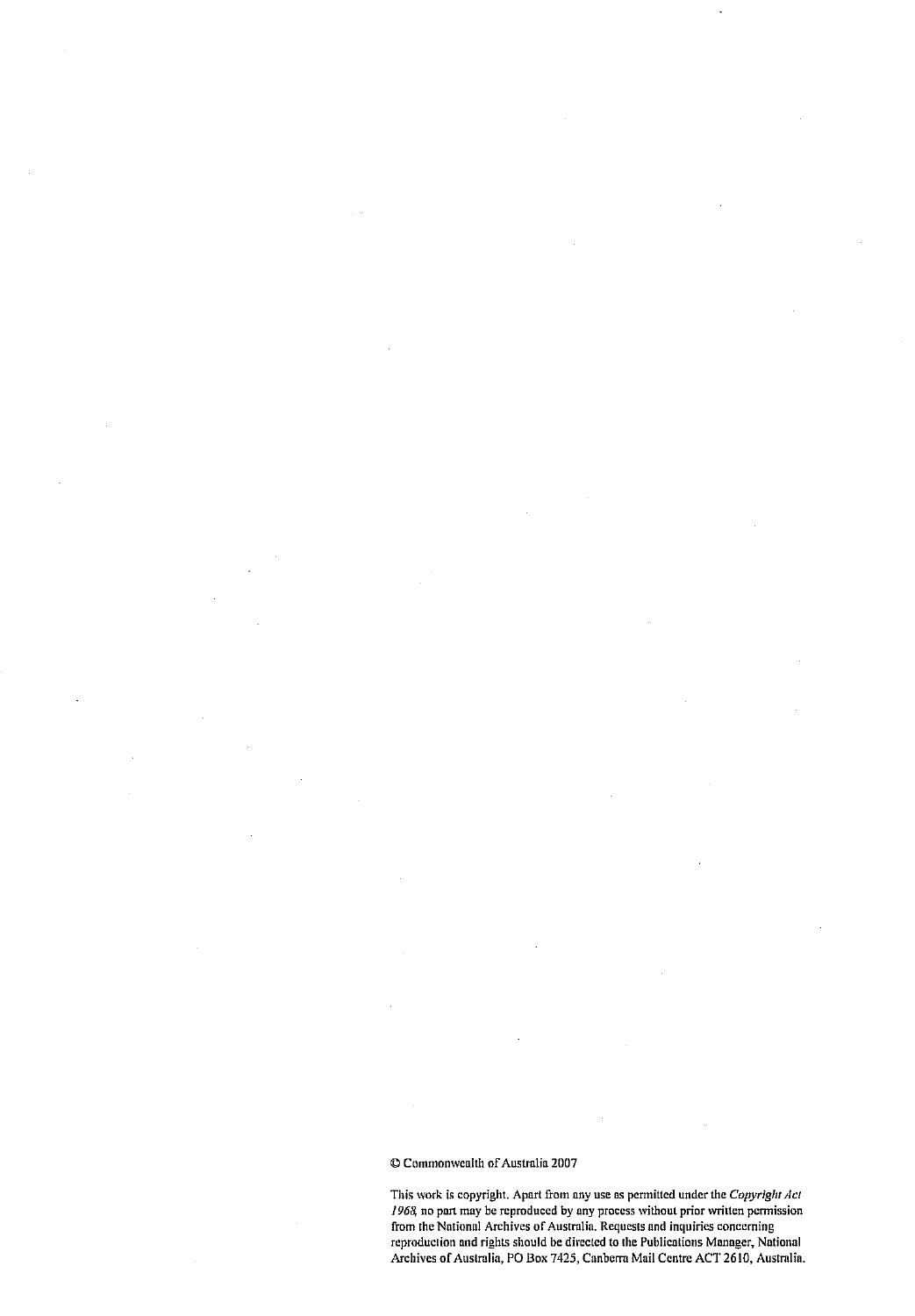### © Commonwealth of Australia 2007

This work is copyright. Apart from any use as permitted under the *Copyright Act*  1968, no part may be reproduced by any process without prior written permission from the National Archives of Australia. Requests and inquiries concerning reproduction and rights should be directed to the Publications Manager, National Archives of Australia, PO Box 7425, Canberra Mail Centre ACT 2610, Australia.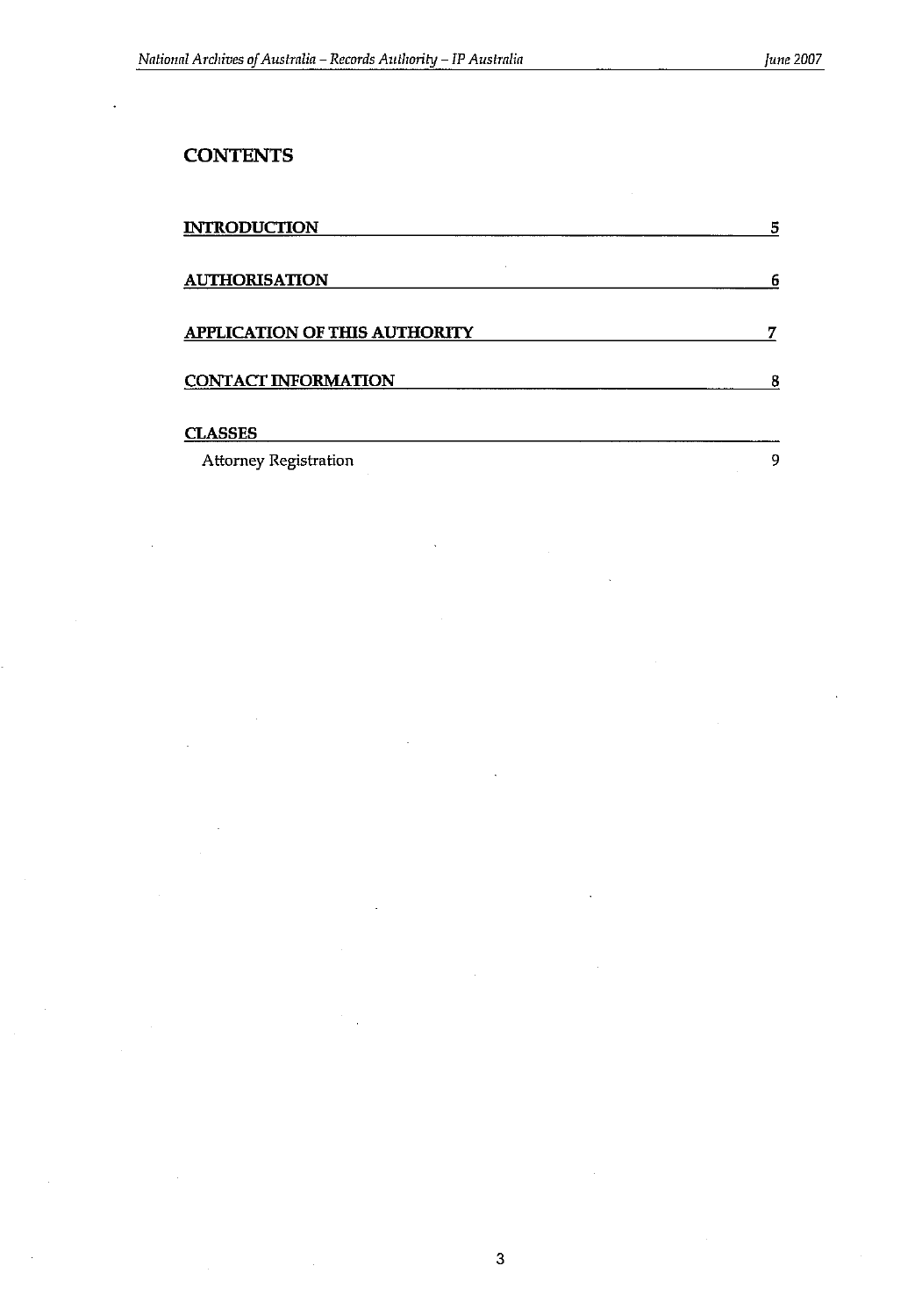### **CONTENTS**

| <b>INTRODUCTION</b>                  | 5 |
|--------------------------------------|---|
| <b>AUTHORISATION</b>                 | 6 |
| <b>APPLICATION OF THIS AUTHORITY</b> |   |
| <b>CONTACT INFORMATION</b>           | 8 |
| <b>CLASSES</b>                       |   |
| <b>Attorney Registration</b>         | 9 |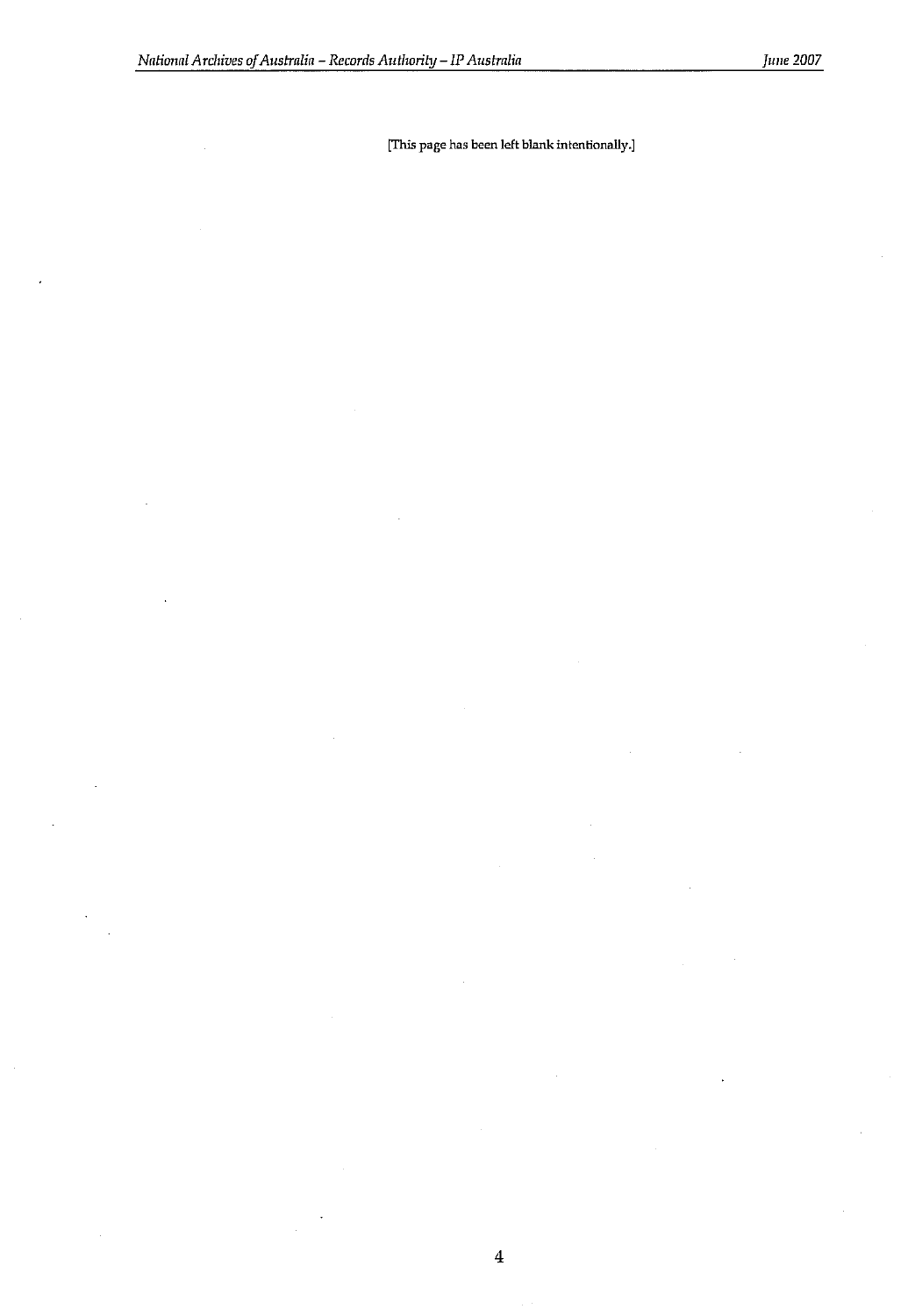**[This page has been left blank intentionally.]** 

4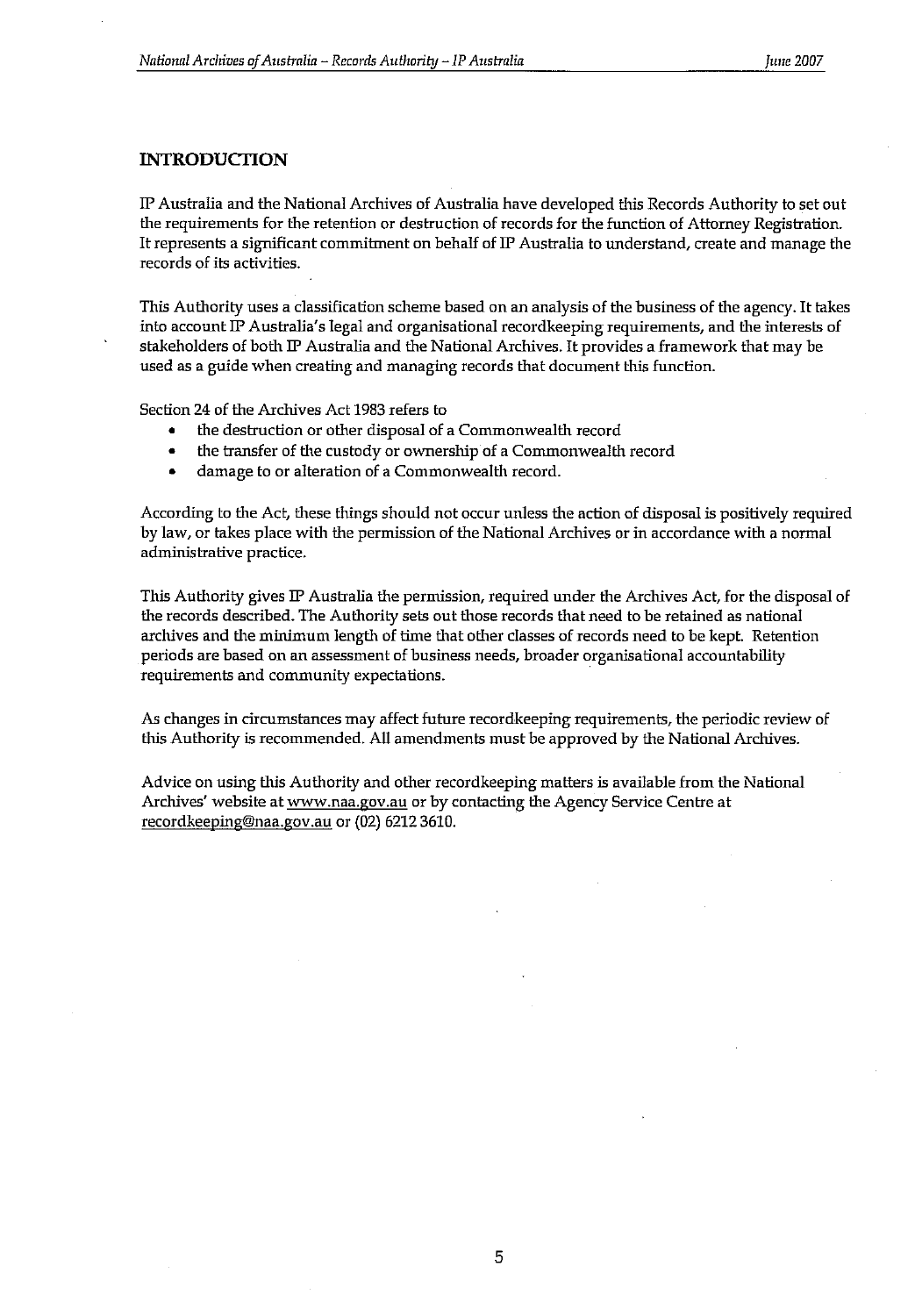### **INTRODUCTION**

IF Australia and the National Archives of Australia have developed this Records Authority to set out the requirements for the retention or destruction of records for the function of Attorney Registration. Itrepresents a significant commitment on behalf of IF Australia to understand, create and manage the records of its activities.

This Authority uses a classification scheme based on an analysis of the business of the agency. It takes into account IF Australia's legal and organisational recordkeeping requirements, and the interests of stakeholders of both IF Australia and the National Archives. It provides a framework that may be used as a guide when creating and managing records that document this function.

Section 24 of the Archives Act 1983 refers to

- the destruction or other disposal of a Commonwealth record
- the transfer of the custody or ownership of a Commonwealth record
- damage to or alteration of a Commonwealth record.

According to the Act, these things should not occur unless the action of disposal is positively required by law, or takes place with the permission of the National Archives or in accordance with a normal administrative practice.

This Authority gives IF Australia the permission, required under the Archives Act, for the disposal of the records described. The Authority sets out those records that need to be retained as national archives and the minimum length of time that other classes of records need to be kept. Retention periods are based on an assessment of business needs, broader organisational accountability requirements and community expectations. .

As changes in circumstances may affect future recordkeeping requirements, the periodic review of this Authority is recommended. AIl amendments must be approved by the National Archives.

Advice on using this Authority and other recordkeeping matters is available from the National Archives' website at www.naa.gov.au or by contacting the Agency Service Centre at recordkeeping@naa.gov.au or (02) 62123610.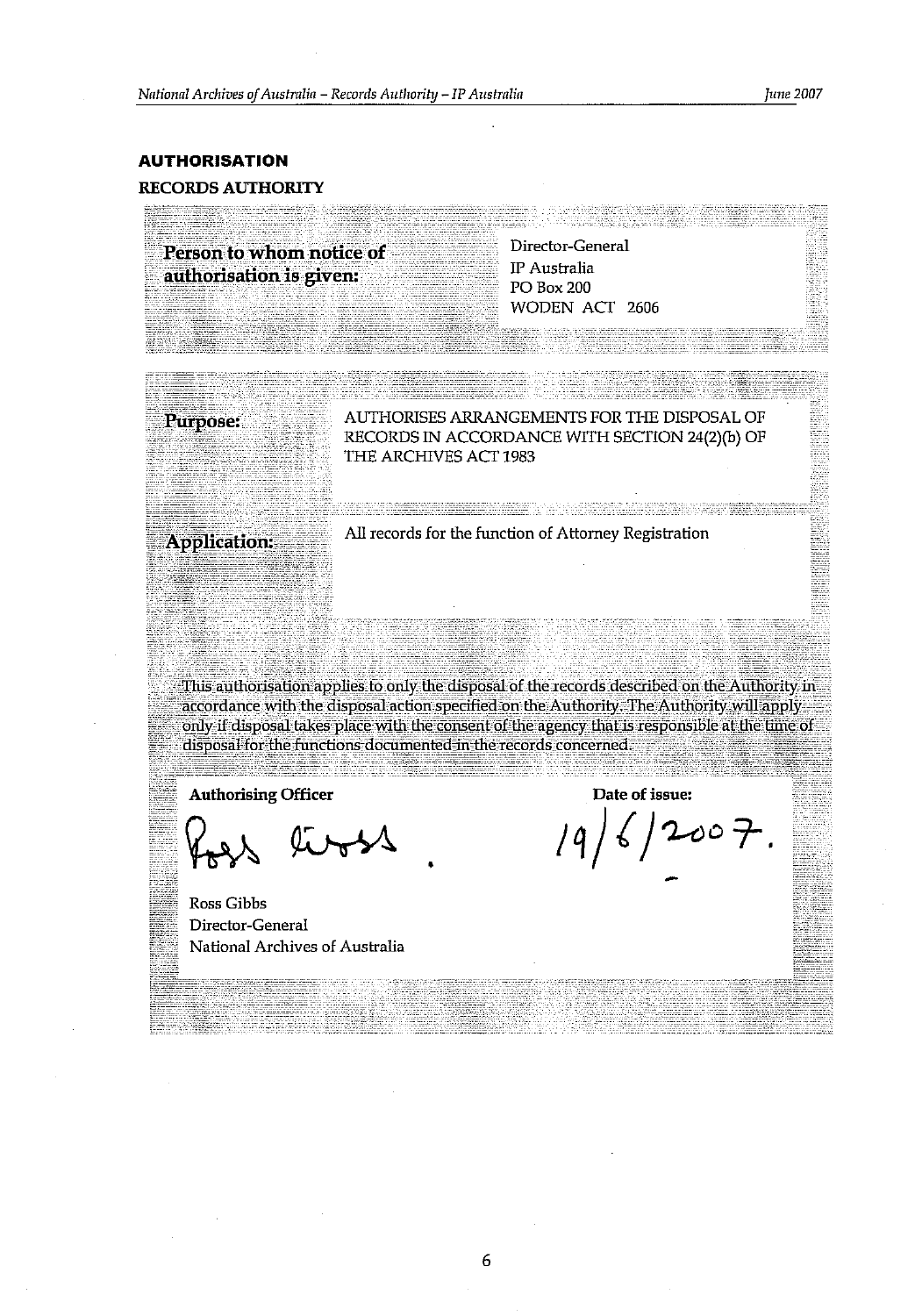### **AUTHORISATION**

### **RECORDS AUTHORITY**

Person to whom notice of authorisation is given:

Director-General IP Australia PO Box 200 WODEN *ACT 2606* 

**Purpose:** 

AUTHORISES ARRANGEMENTS FOR THE DISPOSAL OF RECORDS IN ACCORDANCE WITH SECTION 24(2)(b) OF THE ARCHIVES ACT 1983

**Application:** 

All records for the function of Attorney Registration

This authorisation applies to only the disposal of the records described on the Authority in accordance with the disposal action specified on the Authority. The Authority will apply only if disposal takes place with the consent of the agency that is responsible at the time of disposal for the functions documented in the records concerned.

**Authorising Officer** 

**Ross Gibbs** Director-General National Archives of Australia

Date of issue:

 $19/6/2007.$ 

6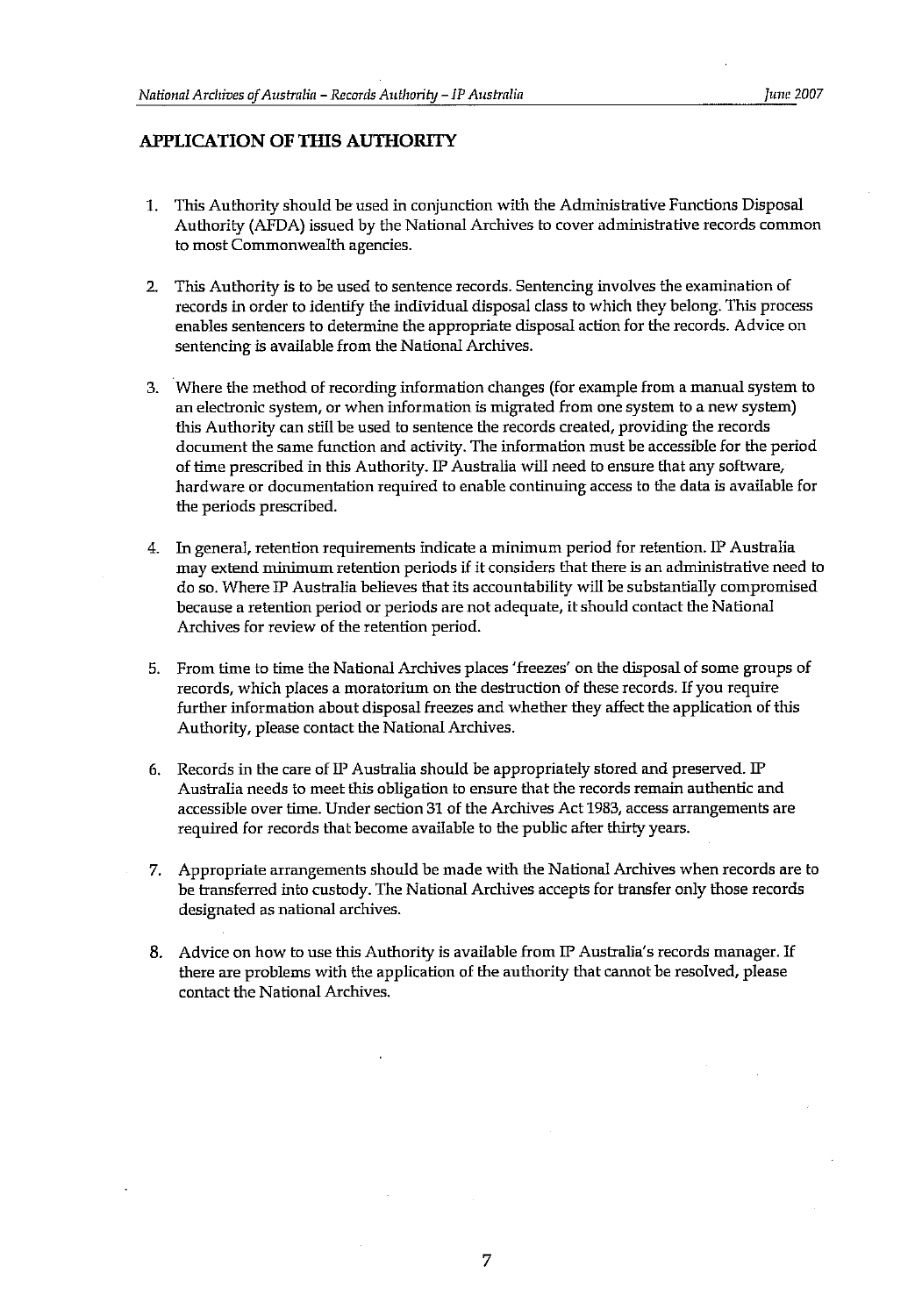### **APPLICATION OF THIS AUTHORITY**

- 1. This Authority should be used in conjunction with the Administrative Functions Disposal Authority (AFDA) issued by the National Archives to cover administrative records common to most Commonwealth agencies.
- 2. This Authority is to be used to sentence records. Sentencing involves the examination of records in order to identify the individual disposal class to which they belong. This process enables sentencers to determine the appropriate disposal action for the records. Advice on sentencing is available from the National Archives.
- 3. Where the method of recording information changes (for example from a manual system to an electronic system, or when information is migrated from one system to a new system) this Authority can still be used to sentence the records created, providing the records document the same function and activity. The information must be accessible for the period of time prescribed in this Authority. IP Australia will need to ensure that any software, hardware or documentation required to enable continuing access to the data is available for the periods prescribed.
- 4. In general, retention requirements indicate a minimum period for retention. IP Australia may extend minimum retention periods if it considers that there is an administrative need to do so. Where IP Australia believes that its accountability will be substantially compromised because a retention period or periods are not adequate, it should contact the National Archives for review of the retention period.
- 5. From time to time the National Archives places'freezes' on the disposal of some groups of records, which places a moratorium on the destruction of these records. If you require further information about disposal freezes and whether they affect the application of this Authority, please contact the National Archives.
- 6. Records in the care of IP Australia should be appropriately stored and preserved. IP Australia needs to meet this obligation to ensure that the records remain authentic and accessible over time. Under section 31 of the Archives Act 1983, access arrangements are required for records that become available to the public after thirty years.
- 7. Appropriate arrangements should be made with the National Archives when records are to be transferred into custody. The National Archives accepts for transfer only those records designated as national archives.
- 8. Advice on how to use this Authority is available from IP Australia's records manager. If there are problems with the application of the authority that cannot be resolved, please contact the National Archives.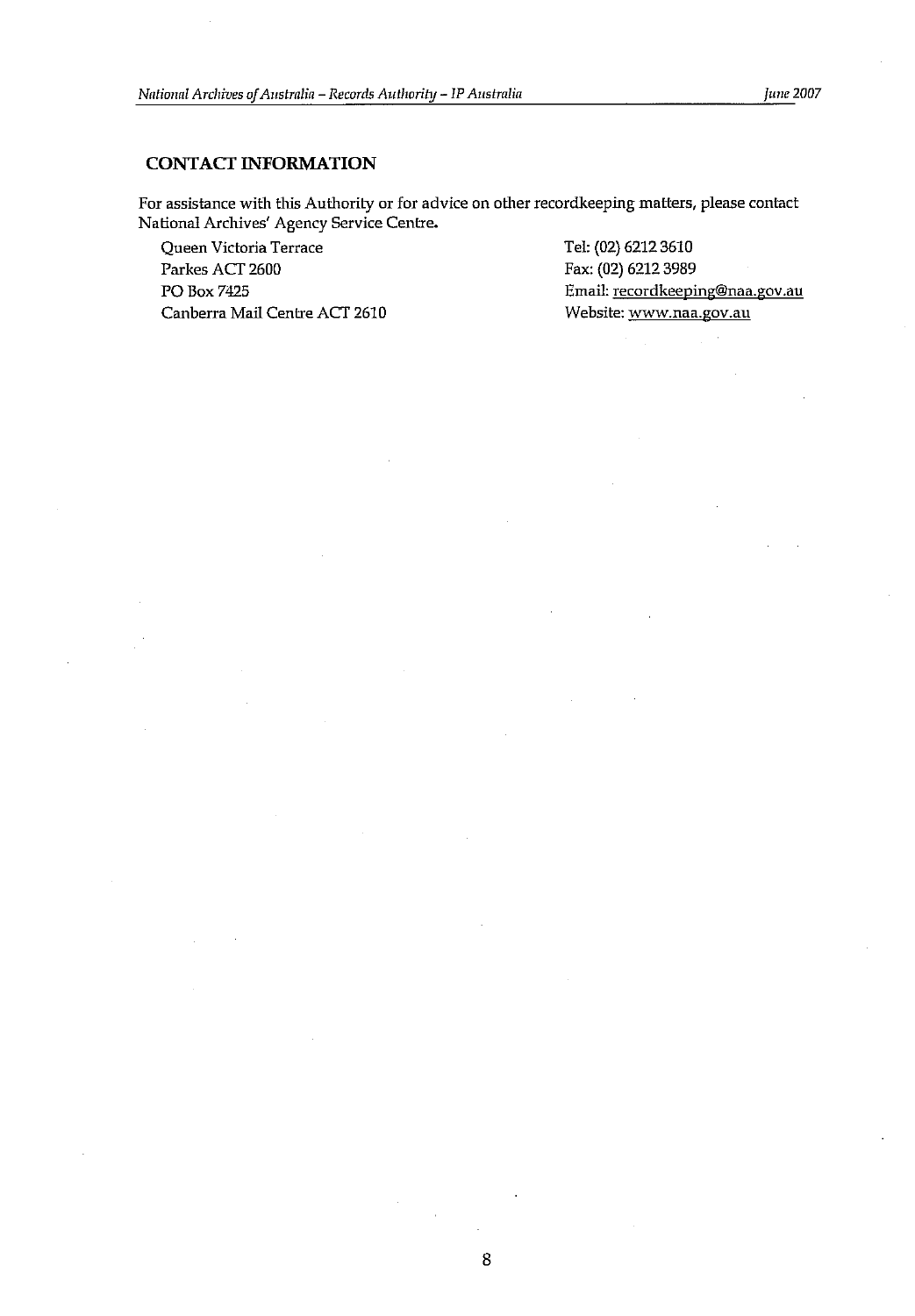### **CONTACT INFORMATION**

For assistance with this Authority or for advice on other recordkeeping matters, please contact National Archives' Agency Service Centre.

Queen Victoria Terrace Tel: (02) 6212 3610 Parkes *ACT 2600* Fax: (02) 62123989 Canberra Mail Centre *ACT* 2610 **Website:** www.naa.gov.au

PO Box 7425 **Email:** recordkeeping@naa.gov.au

8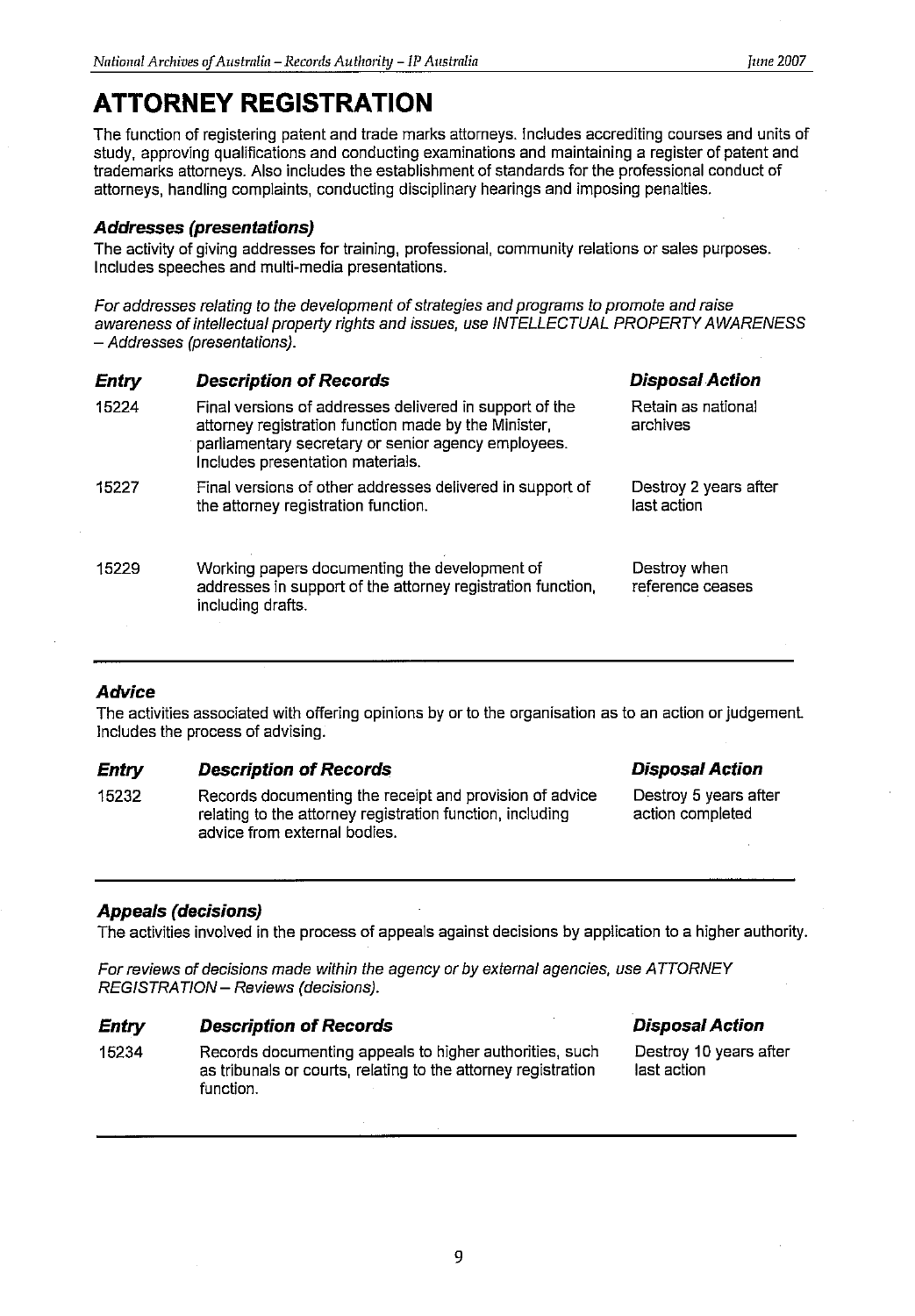The function of registering patent and trade marks attorneys. Includes accrediting courses and units of study, approving qualifications and conducting examinations and maintaining a register of patent and trademarks attorneys. Also includes the establishment of standards for the professional conduct of attorneys, handling complaints, conducting disciplinary hearings and imposing penalties.

### **Addresses (presentations)**

The activity of giving addresses for training, professional, community relations or sales purposes. Includes speeches and multi-media presentations.

For addresses relating to the development of strategies and programs to promote and raise awareness of intellectual property rights and issues, use INTELLECTUAL PROPERTY AWARENESS - Addresses (presentations).

| <b>Entry</b> | <b>Description of Records</b>                                                                                                                                                                              | <b>Disposal Action</b>               |
|--------------|------------------------------------------------------------------------------------------------------------------------------------------------------------------------------------------------------------|--------------------------------------|
| 15224        | Final versions of addresses delivered in support of the<br>attorney registration function made by the Minister,<br>parliamentary secretary or senior agency employees.<br>Includes presentation materials. | Retain as national<br>archives       |
| 15227        | Final versions of other addresses delivered in support of<br>the attorney registration function.                                                                                                           | Destroy 2 years after<br>last action |
| 15229        | Working papers documenting the development of<br>addresses in support of the attorney registration function,<br>including drafts.                                                                          | Destroy when<br>reference ceases     |

### **Advice**

The activities associated with offering opinions by or to the organisation as to an action or judgement Includes the process of advising.

| Entry | <b>Description of Records</b> |  |
|-------|-------------------------------|--|
|-------|-------------------------------|--|

15232 Records documenting the receipt and provision of advice Destroy 5 years after<br>relating to the attorney registration function, including action completed relating to the attorney registration function, including advice from external bodies.

### **Disposal Action**

### **Appeals (decisions)**

The activities involved in the process of appeals against decisions by application to a higher authority.

For reviews of decisions made within the agency or by external agencies, use ATTORNEY REGISTRATION - Reviews (decisions).

| Entry | <b>Description of Records</b>                                                                                                         | <b>Disposal Action</b>                |
|-------|---------------------------------------------------------------------------------------------------------------------------------------|---------------------------------------|
| 15234 | Records documenting appeals to higher authorities, such<br>as tribunals or courts, relating to the attorney registration<br>function. | Destroy 10 years after<br>last action |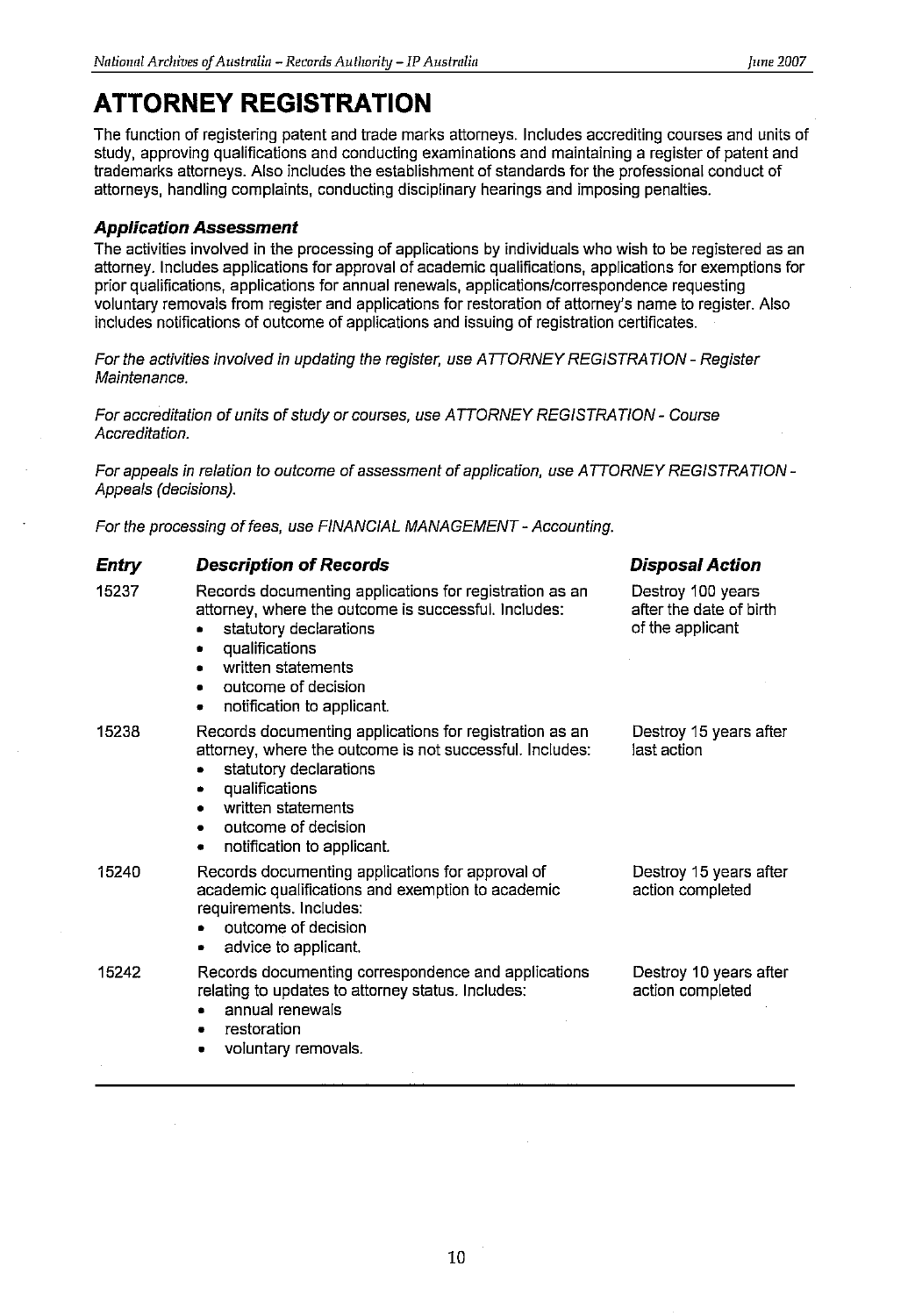The function of registering patent and trade marks attorneys. Includes accrediting courses and units of study, approving qualifications and conducting examinations and maintaining a register of patent and trademarks attorneys. Also includes the establishment of standards for the professionai conduct of attorneys, handling complaints, conducting disciplinary hearings and imposing penalties.

### **Application Assessment**

The activities involved **in** the processing of applications by individuais who wish to be registered as an attorney. Includes applications for approval of academic qualifications, applications for exemptions for prior qualifications, applications for annual renewais, applications/correspondence requesting voiuntary removals from register and applications for restoration of attorney's name to register. Also includes notifications of outcome of applications and issuing of registration certificates.

For the activities involved in updating the register, use ATTORNEY REGISTRATION - Register Maintenance.

For accreditation of units of study or courses, use ATTORNEY REGISTRATION - Course Accreditation.

For appeals in relation to outcome of assessment of application, use ATTORNEY REG/STRATION-Appeals (decisions).

For the processing offees, use FINANCIAL MANAGEMENT - Accounting.

| Entry | <b>Description of Records</b>                                                                                                                                                                                                               | <b>Disposal Action</b>                                           |
|-------|---------------------------------------------------------------------------------------------------------------------------------------------------------------------------------------------------------------------------------------------|------------------------------------------------------------------|
| 15237 | Records documenting applications for registration as an<br>attorney, where the outcome is successful. Includes:<br>statutory declarations<br>qualifications<br>written statements<br>outcome of decision<br>notification to applicant.<br>۰ | Destroy 100 years<br>after the date of birth<br>of the applicant |
| 15238 | Records documenting applications for registration as an<br>attorney, where the outcome is not successful. Includes:<br>statutory declarations<br>qualifications<br>written statements<br>outcome of decision<br>notification to applicant.  | Destroy 15 years after<br>last action                            |
| 15240 | Records documenting applications for approval of<br>academic qualifications and exemption to academic<br>requirements. Includes:<br>outcome of decision<br>advice to applicant.<br>۰                                                        | Destroy 15 years after<br>action completed                       |
| 15242 | Records documenting correspondence and applications<br>relating to updates to attorney status. Includes:<br>annual renewals<br>restoration<br>٠<br>voluntary removals.<br>٠                                                                 | Destroy 10 years after<br>action completed                       |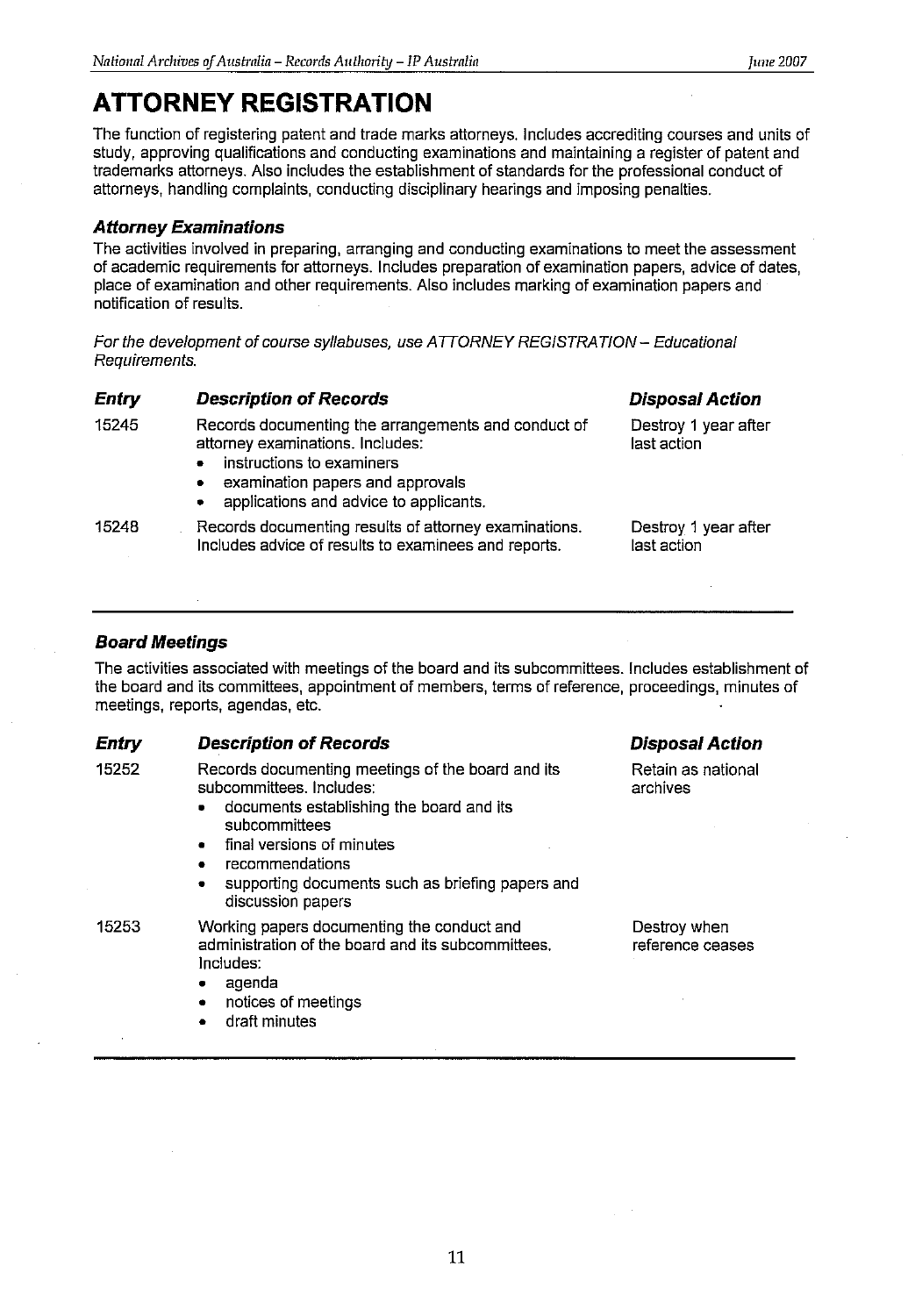The function of registering patent and trade marks attorneys. Includes accrediting courses and units of study, approving qualifications and conducting examinations and maintaining a register of patent and trademarks attorneys. Also includes the establishment of standards for the professional conduct of attorneys, handling complaints, conducting disciplinary hearings and imposing penalties.

### **Attorney Examinations**

The activities involved in preparing, arranging and conducting examinations to meet the assessment of academic requirements for attorneys. Includes preparation of examination papers, advice of dates, place of examination and other requirements. Also includes marking of examination papers and notification of results.

For the development of course syllabuses, use ATTORNEY REGISTRATION - Educational Requirements.

### **Entry Description ofRecords Disposal Action**

| 15245 | Records documenting the arrangements and conduct of |
|-------|-----------------------------------------------------|
|       | attorney examinations. Includes:                    |
|       | $\bullet$ instructions to examiners                 |

examination papers and approvals • applications and advice to applicants.

Includes advice of results to examinees and reports.

Destroy 1 year after last action

15248 Records documenting results of attorney examinations. Destroy 1 year after<br>Includes advice of results to examinees and reports. Instaction

### **Board Meetings**

The activities associated with meetings of the board and its subcommittees. Includes establishment of the board and its committees, appointment of members, terms of reference, proceedings, minutes of meetings, reports, agendas, etc.

| Entry | <b>Description of Records</b>                                                                                                                                                                                                                                                                   | Disposal Action                  |
|-------|-------------------------------------------------------------------------------------------------------------------------------------------------------------------------------------------------------------------------------------------------------------------------------------------------|----------------------------------|
| 15252 | Records documenting meetings of the board and its<br>subcommittees. Includes:<br>documents establishing the board and its<br>۰<br>subcommittees<br>final versions of minutes<br>٠<br>recommendations<br>$\bullet$<br>supporting documents such as briefing papers and<br>۰<br>discussion papers | Retain as national<br>archives   |
| 15253 | Working papers documenting the conduct and<br>administration of the board and its subcommittees.<br>Includes:<br>agenda<br>notices of meetings<br>٠<br>draft minutes                                                                                                                            | Destroy when<br>reference ceases |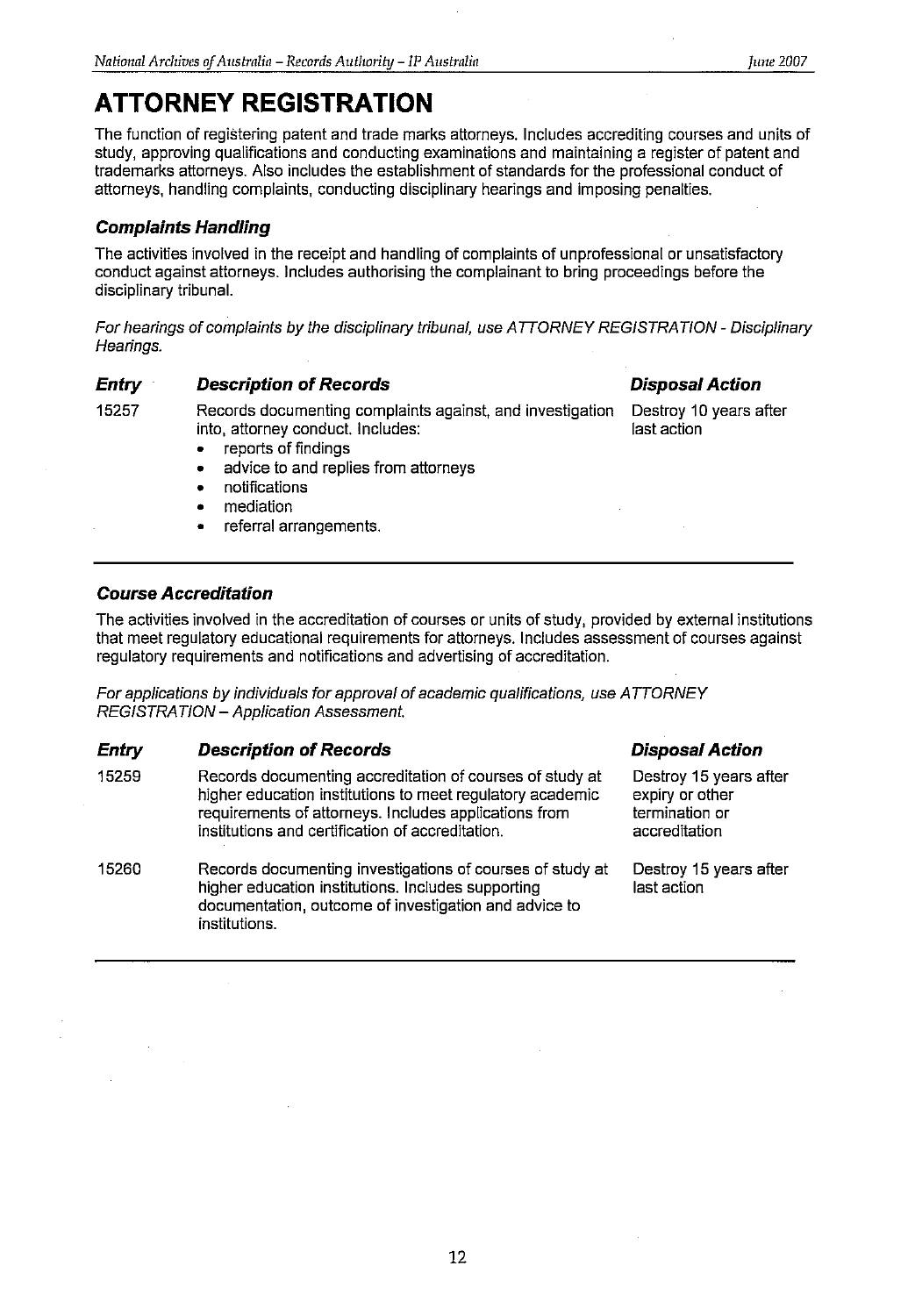The function of registering patent and trade marks attorneys. Includes accrediting courses and units of study, approving quaiifications and conducting examinations and maintaining a register of patent and trademarks attorneys. Also includes the estabiishment of standards for the professional conduct of attorneys, handiing compiaints, conducting disciplinary hearings and imposing penalties.

### **Complaints Handling**

The activities involved in the receipt and handling of complaints of unprofessional or unsatisfactory conduct against attorneys. Includes authorising the complainant to bring proceedings before the discipiinary tribunal.

For hearings of complaints by the disciplinary tribunal, use ATTORNEY REGISTRATION - Disciplinary Hearings.

| Entry | <b>Description of Records</b>                                                                                                                                                   | <b>Disposal Action</b>                |
|-------|---------------------------------------------------------------------------------------------------------------------------------------------------------------------------------|---------------------------------------|
| 15257 | Records documenting complaints against, and investigation<br>into, attorney conduct. Includes:<br>reports of findings<br>advice to and replies from attorneys<br>-notifications | Destroy 10 years after<br>last action |

- notifications
- mediation
- referral arrangements.

### **Course Accreditation**

The activities involved in the accreditation of courses or units of study, provided by external institutions that meet regulatory educational requirements for attorneys. Includes assessment of courses against regulatory requirements and notifications and advertising of accreditation.

For applications by individuals for approval of academic qualifications, use ATTORNEY REGISTRATION - Application Assessment.

### **Entry Description ofRecords Disposal Action**

- 15259 Records documenting accreditation of courses of study at Destroy 15 years after higher education institutions to meet regulatory academic expiry or other requirements of attorneys. Includes applications from termination or institutions and certification of accreditation. accreditation
- 15260 Records documenting investigations of courses of study at Destroy 15 years after higher education institutions. Includes supporting last action documentation, outcome of investigation and advice to institutions.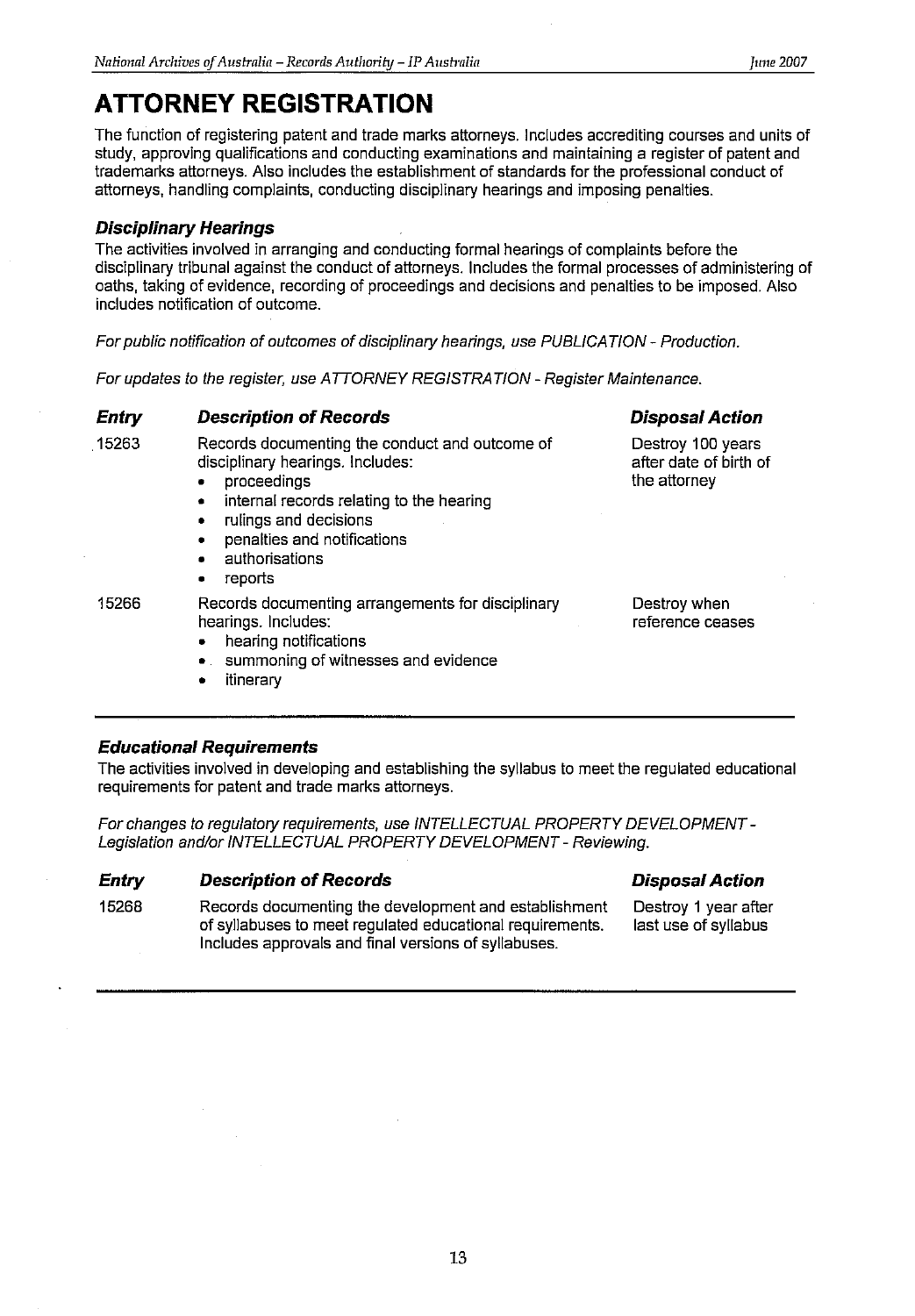The function of registering patent and trade marks attorneys. Includes accrediting courses and units of study, approving qualifications and conducting examinations and maintaining a register of patent and trademarks attorneys. Also includes the establishment of standards for the professional conduct of attorneys, handling complaints, conducting disciplinary hearings and imposing penalties.

### **Disciplinary Hearings**

The activities involved in arranging and conducting formal hearings of complaints before the disciplinary tribunal against the conduct of attorneys. Includes the formal processes of administering of oaths, taking of evidence, recording of proceedings and decisions and penalties to be imposed. Also includes notification of outcome.

For public notification of outcomes of disciplinary hearings, use PUBLICATION - Production.

For updates to the register, use ATTORNEY REG/STRA TION - Register Maintenance.

| Entry | <b>Description of Records</b>                                                                                                                                                                                                                                                            | <b>Disposal Action</b>                                      |
|-------|------------------------------------------------------------------------------------------------------------------------------------------------------------------------------------------------------------------------------------------------------------------------------------------|-------------------------------------------------------------|
| 15263 | Records documenting the conduct and outcome of<br>disciplinary hearings. Includes:<br>proceedings<br>۰<br>internal records relating to the hearing<br>$\bullet$<br>rulings and decisions<br>٠<br>penalties and notifications<br>$\bullet$<br>authorisations<br>$\bullet$<br>reports<br>٠ | Destroy 100 years<br>after date of birth of<br>the attorney |
| 15266 | Records documenting arrangements for disciplinary<br>hearings. Includes:<br>hearing notifications<br>٠<br>• summoning of witnesses and evidence<br>itinerary<br>٠                                                                                                                        | Destroy when<br>reference ceases                            |

### **Educational Requirements**

The activities involved **in** developing and establishing the syllabus to meet the regulated educational requirements for patent and trade marks attorneys.

For changes to regulatory requirements, use INTELLECTUAL PROPERTY DEVELOPMENT-Legislation and/or INTELLECTUAL PROPERTY DEVELOPMENT - Reviewing.

### **Entry Description ofRecords Disposal Action**

15268 Records documenting the development and establishment of syllabuses to meet regulated educational requirements. Includes approvals and final versions of syllabuses.

Destroy 1 year after last use of syllabus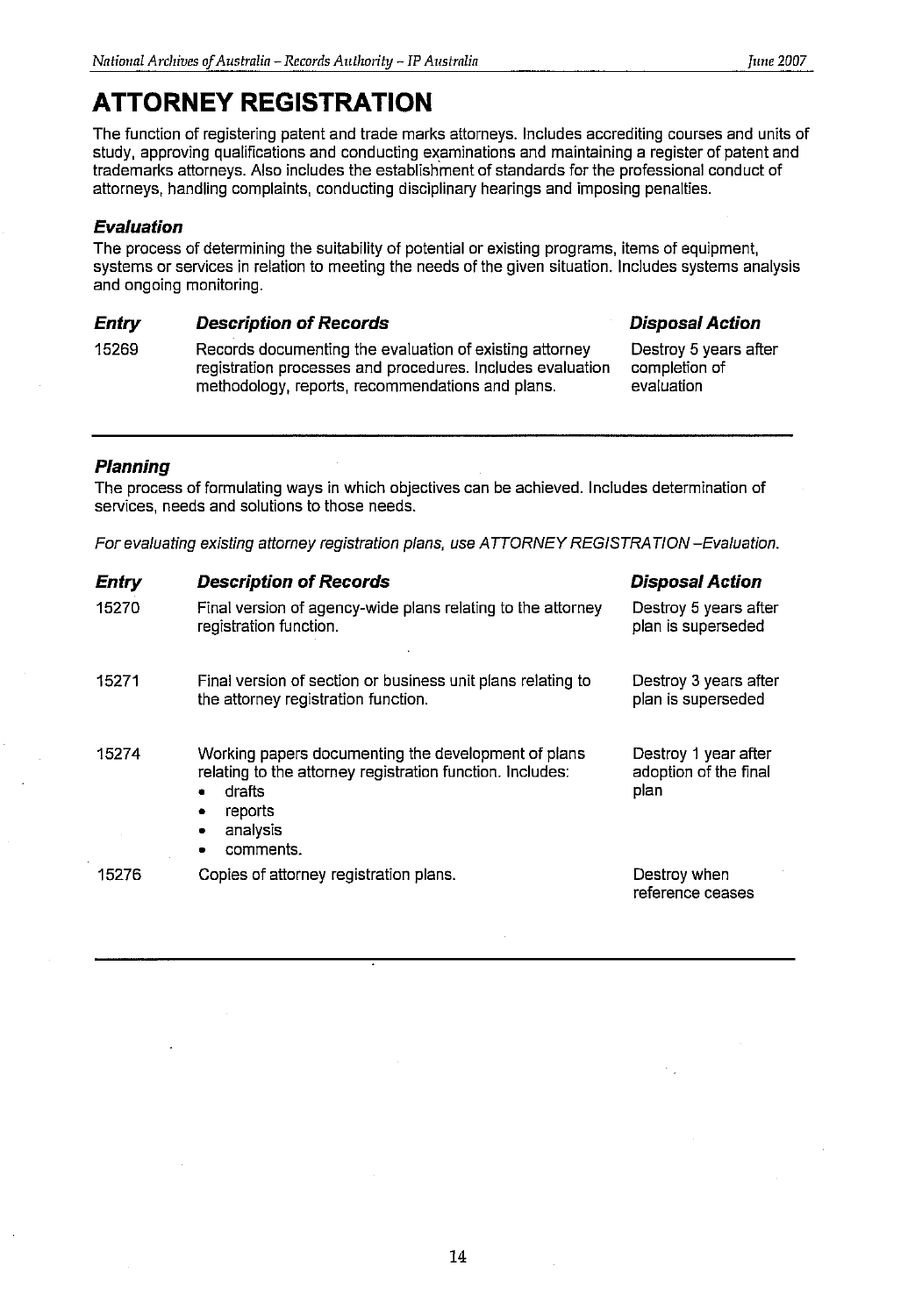The function of registering patent and trade marks attorneys. Includes accrediting courses and units of study, approving qualifications and conducting examinations and maintaining a register of patent and trademarks attorneys. Also includes the establishrnent of standards for the professional conduct of attorneys, handling complaints, conducting disciplinary hearings and imposing penaities.

### **Evaluation**

The process of determining the suitability of potential or existing programs, items of equipment, systems or services in relation to meeting the needs of the given situation. Includes systems analysis and ongoing monitoring.

| Entry | <b>Description of Records</b> |  |
|-------|-------------------------------|--|
|-------|-------------------------------|--|

15269 Records documenting the evaluation of existing attorney Destroy 5 years after<br>registration processes and procedures. Includes evaluation completion of registration processes and procedures. Includes evaluation methodology, reports, recommendations and plans. evaluation

### **Disposal Action**

### **Planning**

The process of formulating ways in which objectives can be achieved. Includes determination of services, needs and solutions to those needs.

For evaluating existing attorney registration plans, use ATTORNEY REGISTRATION -Evaluation.

| <b>Entry</b> | <b>Description of Records</b>                                                                                                                                                    | <b>Disposal Action</b>                                |
|--------------|----------------------------------------------------------------------------------------------------------------------------------------------------------------------------------|-------------------------------------------------------|
| 15270        | Final version of agency-wide plans relating to the attorney<br>registration function.                                                                                            | Destroy 5 years after<br>plan is superseded           |
| 15271        | Final version of section or business unit plans relating to<br>the attorney registration function.                                                                               | Destroy 3 years after<br>plan is superseded           |
| 15274        | Working papers documenting the development of plans<br>relating to the attorney registration function. Includes:<br>drafts<br>reports<br>analysis<br>٠<br>comments.<br>$\bullet$ | Destroy 1 year after<br>adoption of the final<br>plan |
| 15276        | Copies of attorney registration plans.                                                                                                                                           | Destroy when<br>reference ceases                      |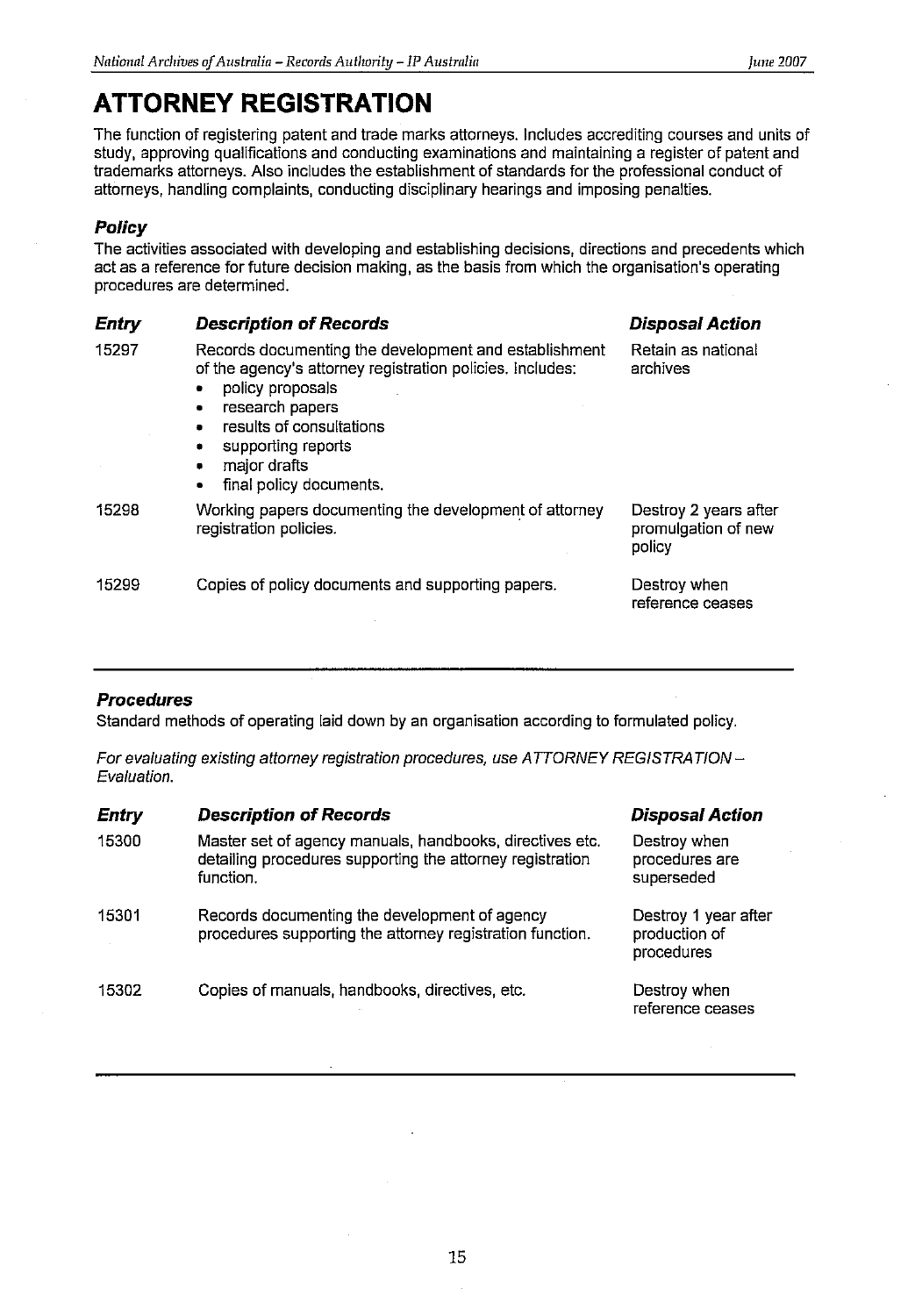The function of registering patent and trade marks attorneys. Includes accrediting courses and units of study, approving qualifications and conducting examinations and maintaining a register of patent and trademarks attorneys. Also inciudes the establishment of standards for the professional conduct of attorneys, handling complaints, conducting disciplinary hearings and imposing penalties.

### **Policy**

The activities associated with developing and establishing decisions, directions and precedents which act as a reference for future decision making, as the basis from which the organisation's operating procedures are determined.

| Entry | <b>Description of Records</b>                                                                                                                                                                                                                                       | Disposal Action                                        |
|-------|---------------------------------------------------------------------------------------------------------------------------------------------------------------------------------------------------------------------------------------------------------------------|--------------------------------------------------------|
| 15297 | Records documenting the development and establishment<br>of the agency's attorney registration policies. Includes:<br>policy proposals<br>research papers<br>results of consultations<br>supporting reports<br>major drafts<br>$\bullet$<br>final policy documents. | Retain as national<br>archives                         |
| 15298 | Working papers documenting the development of attorney<br>registration policies.                                                                                                                                                                                    | Destroy 2 years after<br>promulgation of new<br>policy |
| 15299 | Copies of policy documents and supporting papers.                                                                                                                                                                                                                   | Destroy when<br>reference ceases                       |

### **Procedures**

Standard methods of operating laid down by an organisation according to formulated policy.

For evaluating existing attorney registration procedures, use ATTORNEY REG/STRA TION-Evaluation.

| Entry | <b>Description of Records</b>                                                                                                      | <b>Disposal Action</b>                              |
|-------|------------------------------------------------------------------------------------------------------------------------------------|-----------------------------------------------------|
| 15300 | Master set of agency manuals, handbooks, directives etc.<br>detailing procedures supporting the attorney registration<br>function. | Destroy when<br>procedures are<br>superseded        |
| 15301 | Records documenting the development of agency<br>procedures supporting the attorney registration function.                         | Destroy 1 year after<br>production of<br>procedures |
| 15302 | Copies of manuals, handbooks, directives, etc.                                                                                     | Destroy when<br>reference ceases                    |
|       |                                                                                                                                    |                                                     |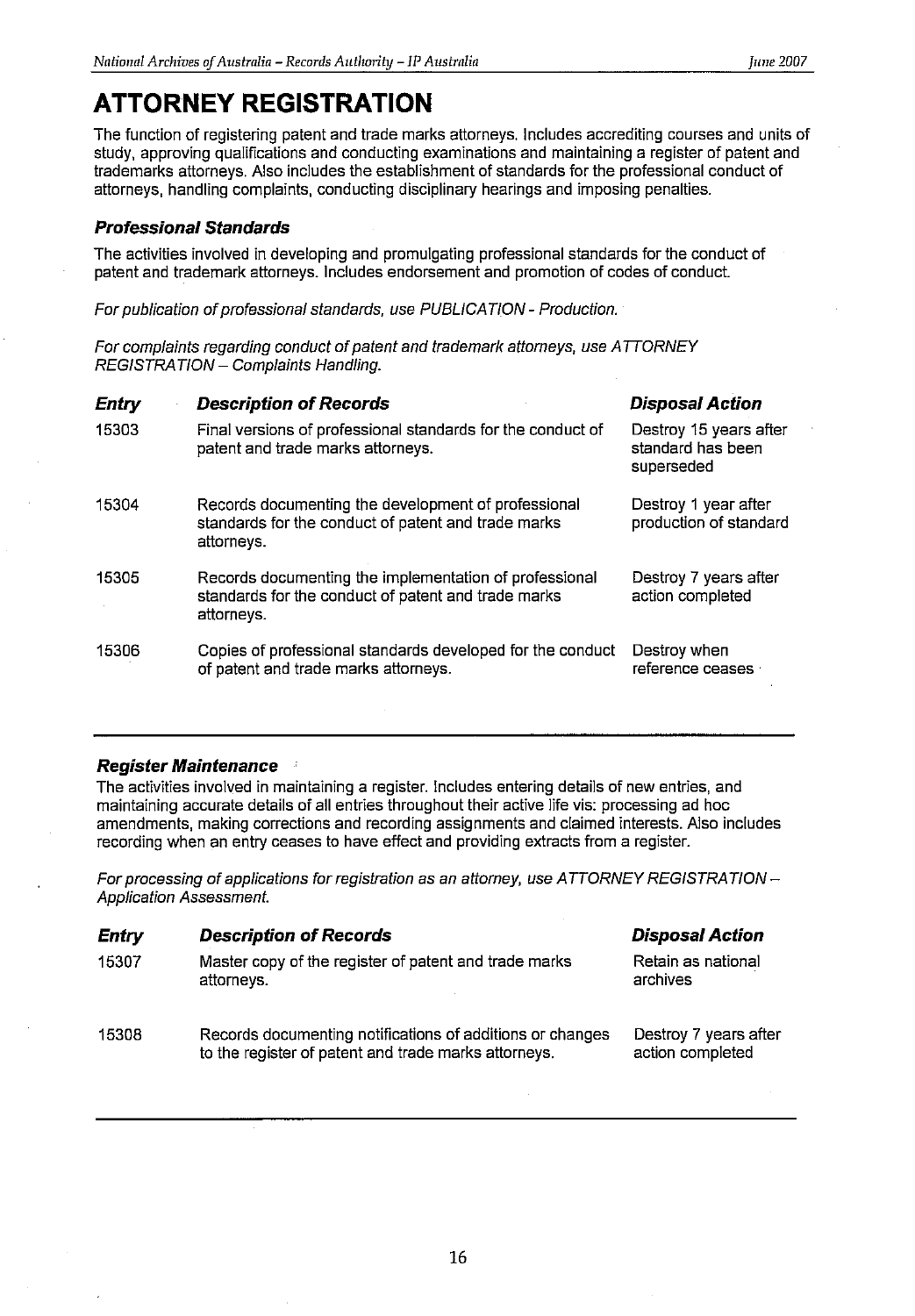The function of registering patent and trade marks attorneys. Includes accrediting courses and units of study, approving qualifications and conducting examinations and maintaining a register of patent and trademarks attorneys. Also includes the establishment of standards for the professional conduct of attorneys, handling complaints, conducting disciplinary hearings and imposing penalties.

### **Professional Standards**

The activities involved in developing and promulgating professional standards for the conduct of patent and trademark attorneys. Includes endorsement and promotion of codes of conduct

For publication of professional standards, use PUBLICATION - Production.

For complaints regarding conduct of patent and trademark attorneys, use ATTORNEY REGISTRATION - Complaints Handling.

| Entry | <b>Description of Records</b>                                                                                               | <b>Disposal Action</b>                                    |
|-------|-----------------------------------------------------------------------------------------------------------------------------|-----------------------------------------------------------|
| 15303 | Final versions of professional standards for the conduct of<br>patent and trade marks attorneys.                            | Destroy 15 years after<br>standard has been<br>superseded |
| 15304 | Records documenting the development of professional<br>standards for the conduct of patent and trade marks<br>attorneys.    | Destroy 1 year after<br>production of standard            |
| 15305 | Records documenting the implementation of professional<br>standards for the conduct of patent and trade marks<br>attorneys. | Destroy 7 years after<br>action completed                 |
| 15306 | Copies of professional standards developed for the conduct<br>of patent and trade marks attorneys.                          | Destroy when<br>reference ceases                          |

### **Register Maintenance**

The activities involved in maintaining a register. Includes entering details of new entries, and maintaining accurate details of all entries throughout their active life vis: processing ad hoc amendments, making corrections and recording assignments and claimed interests. Also includes recording when an entry ceases to have effect and providing extracts from a register.

For processing of applications for registration as an attorney, use ATTORNEY REGISTRATlON-Application Assessment.

| <b>Entry</b> | <b>Description of Records</b>                                                                                     | <b>Disposal Action</b>                    |
|--------------|-------------------------------------------------------------------------------------------------------------------|-------------------------------------------|
| 15307        | Master copy of the register of patent and trade marks<br>attorneys.                                               | Retain as national<br>archives            |
| 15308        | Records documenting notifications of additions or changes<br>to the register of patent and trade marks attorneys. | Destroy 7 years after<br>action completed |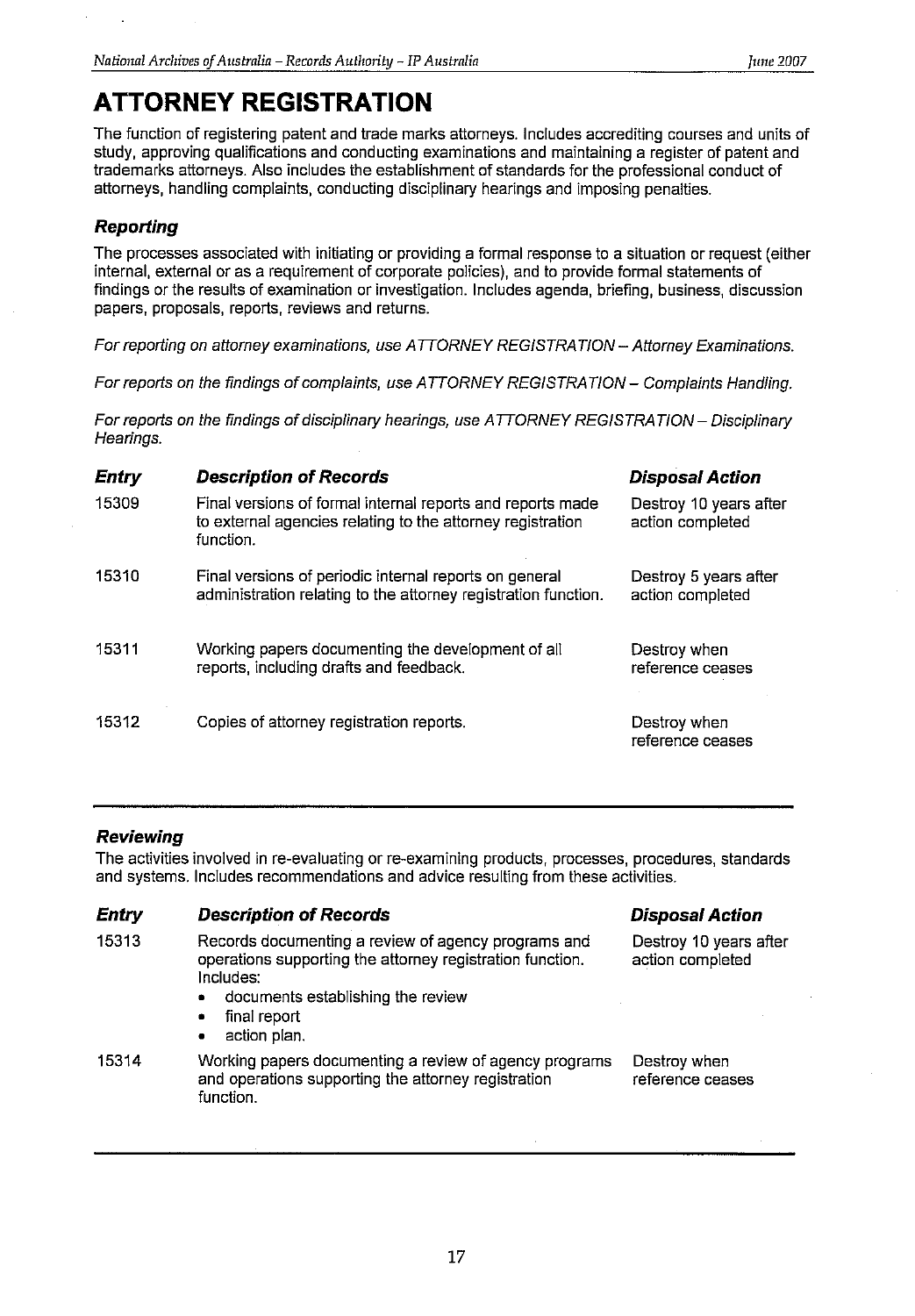The function of registering patent and trade marks attorneys. Includes accrediting courses and units of study, approving qualifications and conducting examinations and maintaining a register of patent and trademarks attorneys. Also includes the establishment of standards for the professional conduct of attorneys, handling complaints, conductinp disciplinary hearings and lmposinq penalties.

### **Reporting**

The processes associated with initiating or providing a formal response to a situation or request (either internal, external or as a requirement of corporate policies), and to provide formal statements of findings or the results of examination or investigation. Includes agenda, briefing, business, discussion papers, proposals, reports, reviews and returns.

For reporting on attorney examinations, use ATTORNEY REGISTRATION - Attorney Examinations.

For reports on the findings of complaints, use ATTORNEY REGISTRATION - Complaints Handling.

For reports on the findings of disciplinary hearings, use ATTORNEY REGISTRATION - Disciplinary Hearings.

| Entry | <b>Description of Records</b>                                                                                                         | <b>Disposal Action</b>                     |
|-------|---------------------------------------------------------------------------------------------------------------------------------------|--------------------------------------------|
| 15309 | Final versions of formal internal reports and reports made<br>to external agencies relating to the attorney registration<br>function. | Destroy 10 years after<br>action completed |
| 15310 | Final versions of periodic internal reports on general<br>administration relating to the attorney registration function.              | Destroy 5 years after<br>action completed  |
| 15311 | Working papers documenting the development of all<br>reports, including drafts and feedback.                                          | Destroy when<br>reference ceases           |
| 15312 | Copies of attorney registration reports.                                                                                              | Destroy when<br>reference ceases           |

### **Reviewing**

The activities involved in re-evaluating or re-examining products, processes, procedures, standards and systems. Includes recommendations and advice resulting from these activities.

| Entry | <b>Description of Records</b>                                                                                                                                                                                   | <b>Disposal Action</b>                     |
|-------|-----------------------------------------------------------------------------------------------------------------------------------------------------------------------------------------------------------------|--------------------------------------------|
| 15313 | Records documenting a review of agency programs and<br>operations supporting the attorney registration function.<br>Includes:<br>documents establishing the review<br>$\bullet$<br>final report<br>action plan. | Destroy 10 years after<br>action completed |
| 15314 | Working papers documenting a review of agency programs<br>and operations supporting the attorney registration<br>function.                                                                                      | Destroy when<br>reference ceases           |